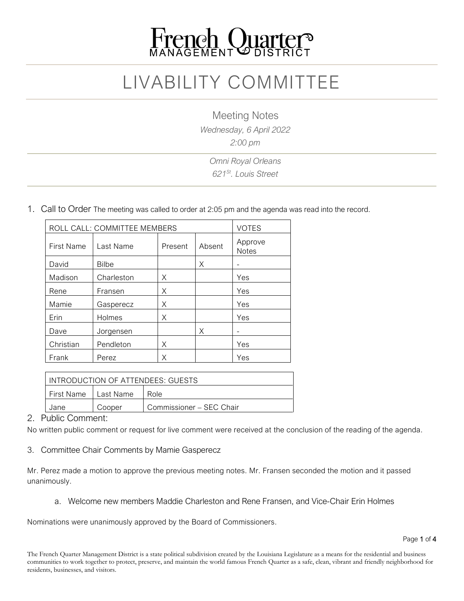

# LIVABILITY COMMITTEE

Meeting Notes

*Wednesday, 6 April 2022*

*2:00 pm*

*Omni Royal Orleans 621St. Louis Street*

1. Call to Order The meeting was called to order at 2:05 pm and the agenda was read into the record.

| ROLL CALL: COMMITTEE MEMBERS |              |         |        | <b>VOTES</b>            |
|------------------------------|--------------|---------|--------|-------------------------|
| First Name                   | Last Name    | Present | Absent | Approve<br><b>Notes</b> |
| David                        | <b>Bilbe</b> |         | Χ      |                         |
| Madison                      | Charleston   | X       |        | Yes                     |
| Rene                         | Fransen      | Χ       |        | Yes                     |
| Mamie                        | Gasperecz    | X       |        | Yes                     |
| Erin                         | Holmes       | X       |        | Yes                     |
| Dave                         | Jorgensen    |         | X      |                         |
| Christian                    | Pendleton    | X       |        | Yes                     |
| Frank                        | Perez        | Χ       |        | Yes                     |

| LINTRODUCTION OF ATTENDEES: GUESTS |        |                          |  |
|------------------------------------|--------|--------------------------|--|
| First Name   Last Name             |        | l Role.                  |  |
| Jane                               | Cooper | Commissioner - SEC Chair |  |

#### 2. Public Comment:

No written public comment or request for live comment were received at the conclusion of the reading of the agenda.

3. Committee Chair Comments by Mamie Gasperecz

Mr. Perez made a motion to approve the previous meeting notes. Mr. Fransen seconded the motion and it passed unanimously.

a. Welcome new members Maddie Charleston and Rene Fransen, and Vice-Chair Erin Holmes

Nominations were unanimously approved by the Board of Commissioners.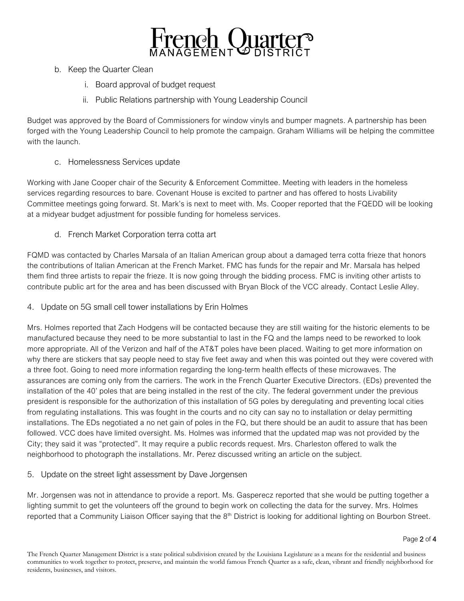

- b. Keep the Quarter Clean
	- i. Board approval of budget request
	- ii. Public Relations partnership with Young Leadership Council

Budget was approved by the Board of Commissioners for window vinyls and bumper magnets. A partnership has been forged with the Young Leadership Council to help promote the campaign. Graham Williams will be helping the committee with the launch.

## c. Homelessness Services update

Working with Jane Cooper chair of the Security & Enforcement Committee. Meeting with leaders in the homeless services regarding resources to bare. Covenant House is excited to partner and has offered to hosts Livability Committee meetings going forward. St. Mark's is next to meet with. Ms. Cooper reported that the FQEDD will be looking at a midyear budget adjustment for possible funding for homeless services.

d. French Market Corporation terra cotta art

FQMD was contacted by Charles Marsala of an Italian American group about a damaged terra cotta frieze that honors the contributions of Italian American at the French Market. FMC has funds for the repair and Mr. Marsala has helped them find three artists to repair the frieze. It is now going through the bidding process. FMC is inviting other artists to contribute public art for the area and has been discussed with Bryan Block of the VCC already. Contact Leslie Alley.

4. Update on 5G small cell tower installations by Erin Holmes

Mrs. Holmes reported that Zach Hodgens will be contacted because they are still waiting for the historic elements to be manufactured because they need to be more substantial to last in the FQ and the lamps need to be reworked to look more appropriate. All of the Verizon and half of the AT&T poles have been placed. Waiting to get more information on why there are stickers that say people need to stay five feet away and when this was pointed out they were covered with a three foot. Going to need more information regarding the long-term health effects of these microwaves. The assurances are coming only from the carriers. The work in the French Quarter Executive Directors. (EDs) prevented the installation of the 40' poles that are being installed in the rest of the city. The federal government under the previous president is responsible for the authorization of this installation of 5G poles by deregulating and preventing local cities from regulating installations. This was fought in the courts and no city can say no to installation or delay permitting installations. The EDs negotiated a no net gain of poles in the FQ, but there should be an audit to assure that has been followed. VCC does have limited oversight. Ms. Holmes was informed that the updated map was not provided by the City; they said it was "protected". It may require a public records request. Mrs. Charleston offered to walk the neighborhood to photograph the installations. Mr. Perez discussed writing an article on the subject.

5. Update on the street light assessment by Dave Jorgensen

Mr. Jorgensen was not in attendance to provide a report. Ms. Gasperecz reported that she would be putting together a lighting summit to get the volunteers off the ground to begin work on collecting the data for the survey. Mrs. Holmes reported that a Community Liaison Officer saying that the 8<sup>th</sup> District is looking for additional lighting on Bourbon Street.

The French Quarter Management District is a state political subdivision created by the Louisiana Legislature as a means for the residential and business communities to work together to protect, preserve, and maintain the world famous French Quarter as a safe, clean, vibrant and friendly neighborhood for residents, businesses, and visitors.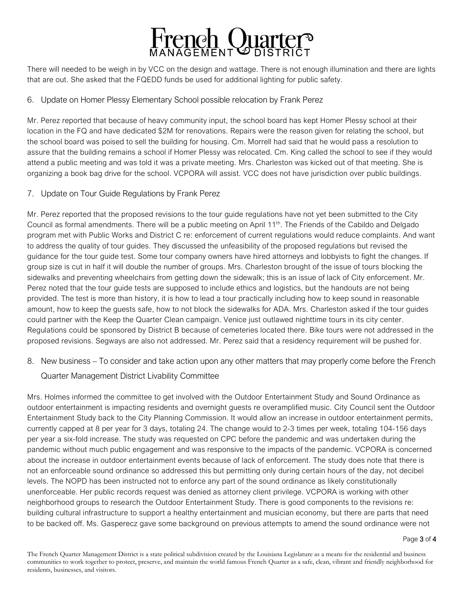

There will needed to be weigh in by VCC on the design and wattage. There is not enough illumination and there are lights that are out. She asked that the FQEDD funds be used for additional lighting for public safety.

### 6. Update on Homer Plessy Elementary School possible relocation by Frank Perez

Mr. Perez reported that because of heavy community input, the school board has kept Homer Plessy school at their location in the FQ and have dedicated \$2M for renovations. Repairs were the reason given for relating the school, but the school board was poised to sell the building for housing. Cm. Morrell had said that he would pass a resolution to assure that the building remains a school if Homer Plessy was relocated. Cm. King called the school to see if they would attend a public meeting and was told it was a private meeting. Mrs. Charleston was kicked out of that meeting. She is organizing a book bag drive for the school. VCPORA will assist. VCC does not have jurisdiction over public buildings.

#### 7. Update on Tour Guide Regulations by Frank Perez

Mr. Perez reported that the proposed revisions to the tour guide regulations have not yet been submitted to the City Council as formal amendments. There will be a public meeting on April 11th. The Friends of the Cabildo and Delgado program met with Public Works and District C re: enforcement of current regulations would reduce complaints. And want to address the quality of tour guides. They discussed the unfeasibility of the proposed regulations but revised the guidance for the tour guide test. Some tour company owners have hired attorneys and lobbyists to fight the changes. If group size is cut in half it will double the number of groups. Mrs. Charleston brought of the issue of tours blocking the sidewalks and preventing wheelchairs from getting down the sidewalk; this is an issue of lack of City enforcement. Mr. Perez noted that the tour guide tests are supposed to include ethics and logistics, but the handouts are not being provided. The test is more than history, it is how to lead a tour practically including how to keep sound in reasonable amount, how to keep the guests safe, how to not block the sidewalks for ADA. Mrs. Charleston asked if the tour guides could partner with the Keep the Quarter Clean campaign. Venice just outlawed nighttime tours in its city center. Regulations could be sponsored by District B because of cemeteries located there. Bike tours were not addressed in the proposed revisions. Segways are also not addressed. Mr. Perez said that a residency requirement will be pushed for.

8. New business – To consider and take action upon any other matters that may properly come before the French

#### Quarter Management District Livability Committee

Mrs. Holmes informed the committee to get involved with the Outdoor Entertainment Study and Sound Ordinance as outdoor entertainment is impacting residents and overnight guests re overamplified music. City Council sent the Outdoor Entertainment Study back to the City Planning Commission. It would allow an increase in outdoor entertainment permits, currently capped at 8 per year for 3 days, totaling 24. The change would to 2-3 times per week, totaling 104-156 days per year a six-fold increase. The study was requested on CPC before the pandemic and was undertaken during the pandemic without much public engagement and was responsive to the impacts of the pandemic. VCPORA is concerned about the increase in outdoor entertainment events because of lack of enforcement. The study does note that there is not an enforceable sound ordinance so addressed this but permitting only during certain hours of the day, not decibel levels. The NOPD has been instructed not to enforce any part of the sound ordinance as likely constitutionally unenforceable. Her public records request was denied as attorney client privilege. VCPORA is working with other neighborhood groups to research the Outdoor Entertainment Study. There is good components to the revisions re: building cultural infrastructure to support a healthy entertainment and musician economy, but there are parts that need to be backed off. Ms. Gasperecz gave some background on previous attempts to amend the sound ordinance were not

Page 3 of 4